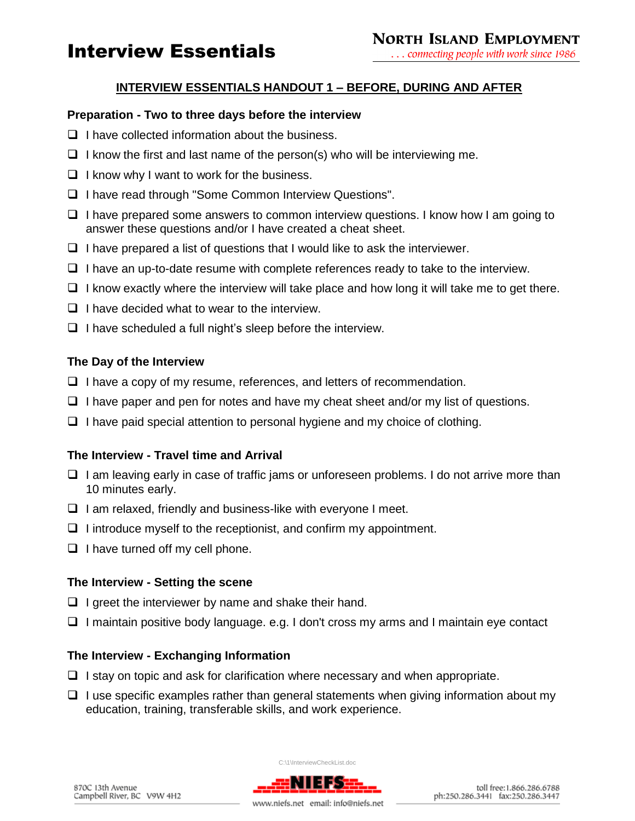# Interview Essentials

## **INTERVIEW ESSENTIALS HANDOUT 1 – BEFORE, DURING AND AFTER**

### **Preparation - Two to three days before the interview**

- $\Box$  I have collected information about the business.
- $\Box$  I know the first and last name of the person(s) who will be interviewing me.
- $\Box$  I know why I want to work for the business.
- I have read through "Some Common Interview Questions".
- $\Box$  I have prepared some answers to common interview questions. I know how I am going to answer these questions and/or I have created a cheat sheet.
- $\Box$  I have prepared a list of questions that I would like to ask the interviewer.
- $\Box$  I have an up-to-date resume with complete references ready to take to the interview.
- $\Box$  I know exactly where the interview will take place and how long it will take me to get there.
- $\Box$  I have decided what to wear to the interview.
- $\Box$  I have scheduled a full night's sleep before the interview.

### **The Day of the Interview**

- $\Box$  I have a copy of my resume, references, and letters of recommendation.
- $\Box$  I have paper and pen for notes and have my cheat sheet and/or my list of questions.
- $\Box$  I have paid special attention to personal hygiene and my choice of clothing.

## **The Interview - Travel time and Arrival**

- $\Box$  I am leaving early in case of traffic jams or unforeseen problems. I do not arrive more than 10 minutes early.
- $\Box$  I am relaxed, friendly and business-like with everyone I meet.
- $\Box$  I introduce myself to the receptionist, and confirm my appointment.
- $\Box$  I have turned off my cell phone.

#### **The Interview - Setting the scene**

- $\Box$  I greet the interviewer by name and shake their hand.
- $\Box$  I maintain positive body language. e.g. I don't cross my arms and I maintain eye contact

## **The Interview - Exchanging Information**

- $\Box$  I stay on topic and ask for clarification where necessary and when appropriate.
- $\Box$  I use specific examples rather than general statements when giving information about my education, training, transferable skills, and work experience.

C:\1\InterviewCheckList.doc RITES